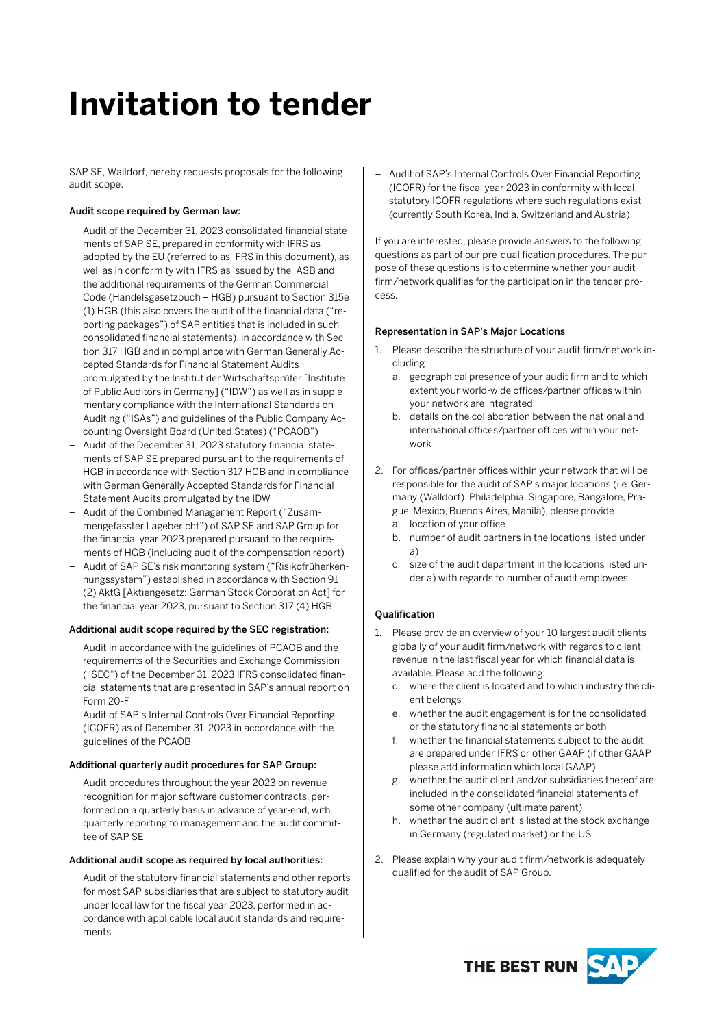# **Invitation to tender**

SAP SE, Walldorf, hereby requests proposals for the following audit scope.

## Audit scope required by German law:

- Audit of the December 31, 2023 consolidated financial statements of SAP SE, prepared in conformity with IFRS as adopted by the EU (referred to as IFRS in this document), as well as in conformity with IFRS as issued by the IASB and the additional requirements of the German Commercial Code (Handelsgesetzbuch – HGB) pursuant to Section 315e (1) HGB (this also covers the audit of the financial data ("reporting packages") of SAP entities that is included in such consolidated financial statements), in accordance with Section 317 HGB and in compliance with German Generally Accepted Standards for Financial Statement Audits promulgated by the Institut der Wirtschaftsprüfer [Institute of Public Auditors in Germany] ("IDW") as well as in supplementary compliance with the International Standards on Auditing ("ISAs") and guidelines of the Public Company Accounting Oversight Board (United States) ("PCAOB")
- Audit of the December 31, 2023 statutory financial statements of SAP SE prepared pursuant to the requirements of HGB in accordance with Section 317 HGB and in compliance with German Generally Accepted Standards for Financial Statement Audits promulgated by the IDW
- Audit of the Combined Management Report ("Zusammengefasster Lagebericht") of SAP SE and SAP Group for the financial year 2023 prepared pursuant to the requirements of HGB (including audit of the compensation report)
- Audit of SAP SE's risk monitoring system ("Risikofrüherkennungssystem") established in accordance with Section 91 (2) AktG [Aktiengesetz: German Stock Corporation Act] for the financial year 2023, pursuant to Section 317 (4) HGB

### Additional audit scope required by the SEC registration:

- Audit in accordance with the guidelines of PCAOB and the requirements of the Securities and Exchange Commission ("SEC") of the December 31, 2023 IFRS consolidated financial statements that are presented in SAP's annual report on Form 20-F
- Audit of SAP's Internal Controls Over Financial Reporting (ICOFR) as of December 31, 2023 in accordance with the guidelines of the PCAOB

### Additional quarterly audit procedures for SAP Group:

– Audit procedures throughout the year 2023 on revenue recognition for major software customer contracts, performed on a quarterly basis in advance of year-end, with quarterly reporting to management and the audit committee of SAP SE

### Additional audit scope as required by local authorities:

– Audit of the statutory financial statements and other reports for most SAP subsidiaries that are subject to statutory audit under local law for the fiscal year 2023, performed in accordance with applicable local audit standards and requirements

– Audit of SAP's Internal Controls Over Financial Reporting (ICOFR) for the fiscal year 2023 in conformity with local statutory ICOFR regulations where such regulations exist (currently South Korea, India, Switzerland and Austria)

If you are interested, please provide answers to the following questions as part of our pre-qualification procedures. The purpose of these questions is to determine whether your audit firm/network qualifies for the participation in the tender process.

### Representation in SAP's Major Locations

- 1. Please describe the structure of your audit firm/network including
	- a. geographical presence of your audit firm and to which extent your world-wide offices/partner offices within your network are integrated
	- b. details on the collaboration between the national and international offices/partner offices within your network
- 2. For offices/partner offices within your network that will be responsible for the audit of SAP's major locations (i.e. Germany (Walldorf), Philadelphia, Singapore, Bangalore, Prague, Mexico, Buenos Aires, Manila), please provide
	- a. location of your office
	- b. number of audit partners in the locations listed under a)
	- c. size of the audit department in the locations listed under a) with regards to number of audit employees

## Qualification

- 1. Please provide an overview of your 10 largest audit clients globally of your audit firm/network with regards to client revenue in the last fiscal year for which financial data is available. Please add the following:
	- d. where the client is located and to which industry the client belongs
	- e. whether the audit engagement is for the consolidated or the statutory financial statements or both
	- f. whether the financial statements subject to the audit are prepared under IFRS or other GAAP (if other GAAP please add information which local GAAP)
	- g. whether the audit client and/or subsidiaries thereof are included in the consolidated financial statements of some other company (ultimate parent)
	- h. whether the audit client is listed at the stock exchange in Germany (regulated market) or the US
- 2. Please explain why your audit firm/network is adequately qualified for the audit of SAP Group.

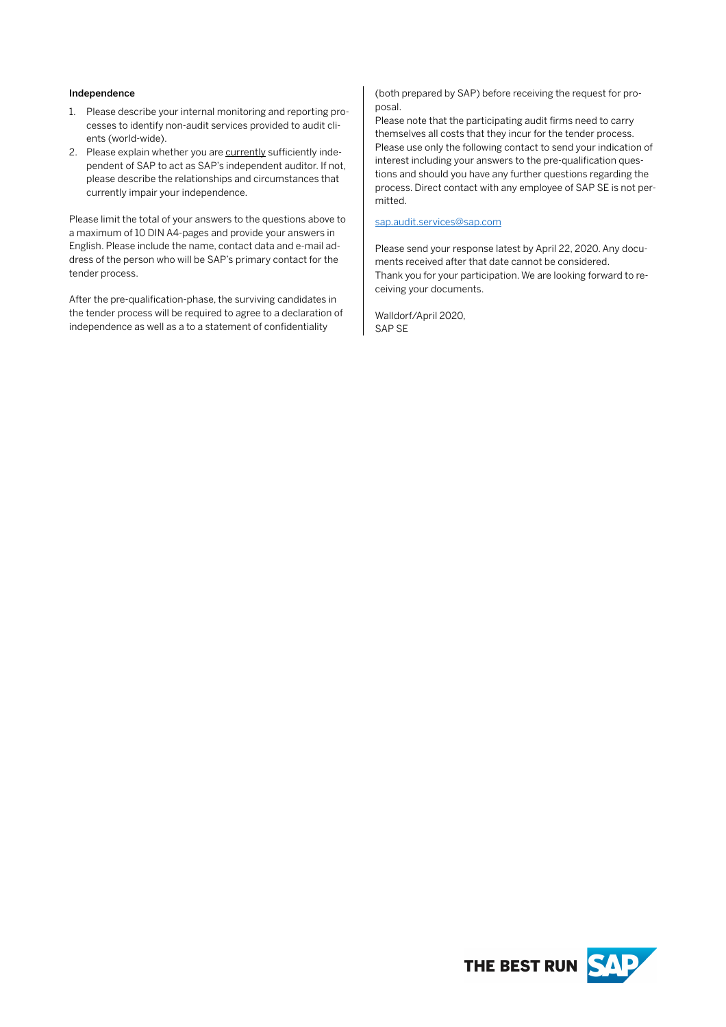### Independence

- 1. Please describe your internal monitoring and reporting processes to identify non-audit services provided to audit clients (world-wide).
- 2. Please explain whether you are currently sufficiently independent of SAP to act as SAP's independent auditor. If not, please describe the relationships and circumstances that currently impair your independence.

Please limit the total of your answers to the questions above to a maximum of 10 DIN A4-pages and provide your answers in English. Please include the name, contact data and e-mail address of the person who will be SAP's primary contact for the tender process.

After the pre-qualification-phase, the surviving candidates in the tender process will be required to agree to a declaration of independence as well as a to a statement of confidentiality

(both prepared by SAP) before receiving the request for proposal.

Please note that the participating audit firms need to carry themselves all costs that they incur for the tender process. Please use only the following contact to send your indication of interest including your answers to the pre-qualification questions and should you have any further questions regarding the process. Direct contact with any employee of SAP SE is not permitted.

#### [sap.audit.services@sap.com](mailto:sap.audit.services@sap.com)

Please send your response latest by April 22, 2020. Any documents received after that date cannot be considered. Thank you for your participation. We are looking forward to receiving your documents.

Walldorf/April 2020, SAP SE

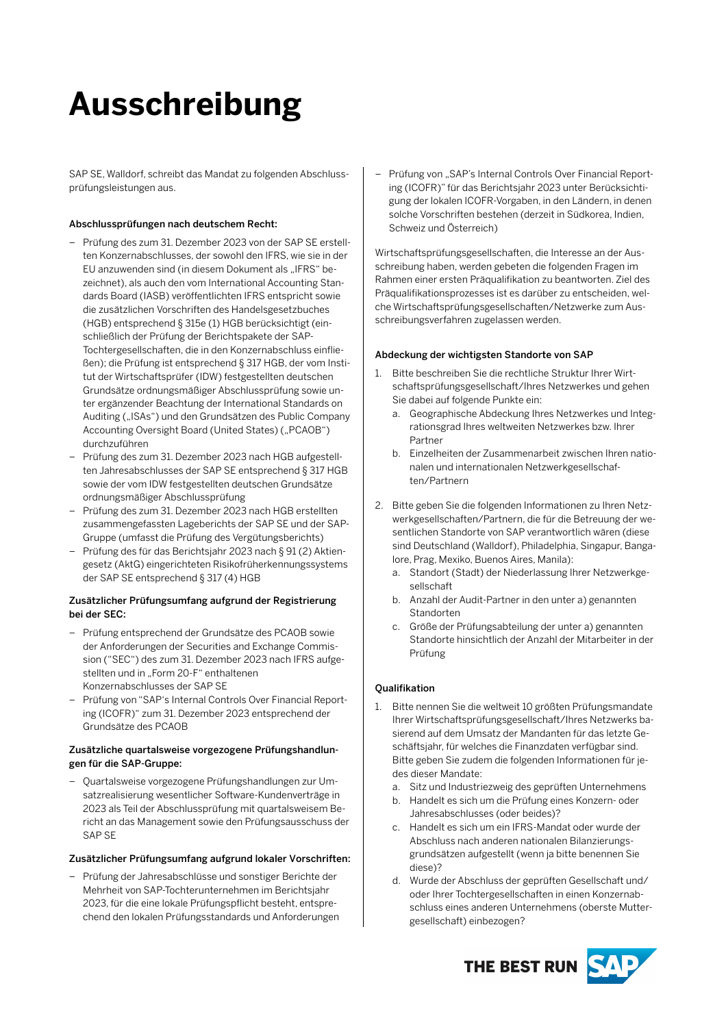# **Ausschreibung**

SAP SE, Walldorf, schreibt das Mandat zu folgenden Abschlussprüfungsleistungen aus.

## Abschlussprüfungen nach deutschem Recht:

- Prüfung des zum 31. Dezember 2023 von der SAP SE erstellten Konzernabschlusses, der sowohl den IFRS, wie sie in der EU anzuwenden sind (in diesem Dokument als "IFRS" bezeichnet), als auch den vom International Accounting Standards Board (IASB) veröffentlichten IFRS entspricht sowie die zusätzlichen Vorschriften des Handelsgesetzbuches (HGB) entsprechend § 315e (1) HGB berücksichtigt (einschließlich der Prüfung der Berichtspakete der SAP-Tochtergesellschaften, die in den Konzernabschluss einfließen); die Prüfung ist entsprechend § 317 HGB, der vom Institut der Wirtschaftsprüfer (IDW) festgestellten deutschen Grundsätze ordnungsmäßiger Abschlussprüfung sowie unter ergänzender Beachtung der International Standards on Auditing ("ISAs") und den Grundsätzen des Public Company Accounting Oversight Board (United States) ("PCAOB") durchzuführen
- Prüfung des zum 31. Dezember 2023 nach HGB aufgestellten Jahresabschlusses der SAP SE entsprechend § 317 HGB sowie der vom IDW festgestellten deutschen Grundsätze ordnungsmäßiger Abschlussprüfung
- Prüfung des zum 31. Dezember 2023 nach HGB erstellten zusammengefassten Lageberichts der SAP SE und der SAP-Gruppe (umfasst die Prüfung des Vergütungsberichts)
- Prüfung des für das Berichtsjahr 2023 nach § 91 (2) Aktiengesetz (AktG) eingerichteten Risikofrüherkennungssystems der SAP SE entsprechend § 317 (4) HGB

## Zusätzlicher Prüfungsumfang aufgrund der Registrierung bei der SEC:

- Prüfung entsprechend der Grundsätze des PCAOB sowie der Anforderungen der Securities and Exchange Commission ("SEC") des zum 31. Dezember 2023 nach IFRS aufgestellten und in "Form 20-F" enthaltenen Konzernabschlusses der SAP SE
- Prüfung von "SAP's Internal Controls Over Financial Reporting (ICOFR)" zum 31. Dezember 2023 entsprechend der Grundsätze des PCAOB

### Zusätzliche quartalsweise vorgezogene Prüfungshandlungen für die SAP-Gruppe:

– Quartalsweise vorgezogene Prüfungshandlungen zur Umsatzrealisierung wesentlicher Software-Kundenverträge in 2023 als Teil der Abschlussprüfung mit quartalsweisem Bericht an das Management sowie den Prüfungsausschuss der SAP SE

## Zusätzlicher Prüfungsumfang aufgrund lokaler Vorschriften:

– Prüfung der Jahresabschlüsse und sonstiger Berichte der Mehrheit von SAP-Tochterunternehmen im Berichtsjahr 2023, für die eine lokale Prüfungspflicht besteht, entsprechend den lokalen Prüfungsstandards und Anforderungen Prüfung von "SAP's Internal Controls Over Financial Reporting (ICOFR)" für das Berichtsjahr 2023 unter Berücksichtigung der lokalen ICOFR-Vorgaben, in den Ländern, in denen solche Vorschriften bestehen (derzeit in Südkorea, Indien, Schweiz und Österreich)

Wirtschaftsprüfungsgesellschaften, die Interesse an der Ausschreibung haben, werden gebeten die folgenden Fragen im Rahmen einer ersten Präqualifikation zu beantworten. Ziel des Präqualifikationsprozesses ist es darüber zu entscheiden, welche Wirtschaftsprüfungsgesellschaften/Netzwerke zum Ausschreibungsverfahren zugelassen werden.

### Abdeckung der wichtigsten Standorte von SAP

- 1. Bitte beschreiben Sie die rechtliche Struktur Ihrer Wirtschaftsprüfungsgesellschaft/Ihres Netzwerkes und gehen Sie dabei auf folgende Punkte ein:
	- a. Geographische Abdeckung Ihres Netzwerkes und Integrationsgrad Ihres weltweiten Netzwerkes bzw. Ihrer Partner
	- b. Einzelheiten der Zusammenarbeit zwischen Ihren nationalen und internationalen Netzwerkgesellschaften/Partnern
- 2. Bitte geben Sie die folgenden Informationen zu Ihren Netzwerkgesellschaften/Partnern, die für die Betreuung der wesentlichen Standorte von SAP verantwortlich wären (diese sind Deutschland (Walldorf), Philadelphia, Singapur, Bangalore, Prag, Mexiko, Buenos Aires, Manila):
	- a. Standort (Stadt) der Niederlassung Ihrer Netzwerkgesellschaft
	- b. Anzahl der Audit-Partner in den unter a) genannten Standorten
	- c. Größe der Prüfungsabteilung der unter a) genannten Standorte hinsichtlich der Anzahl der Mitarbeiter in der Prüfung

### **Oualifikation**

- 1. Bitte nennen Sie die weltweit 10 größten Prüfungsmandate Ihrer Wirtschaftsprüfungsgesellschaft/Ihres Netzwerks basierend auf dem Umsatz der Mandanten für das letzte Geschäftsjahr, für welches die Finanzdaten verfügbar sind. Bitte geben Sie zudem die folgenden Informationen für jedes dieser Mandate:
	- a. Sitz und Industriezweig des geprüften Unternehmens
	- b. Handelt es sich um die Prüfung eines Konzern- oder Jahresabschlusses (oder beides)?
	- c. Handelt es sich um ein IFRS-Mandat oder wurde der Abschluss nach anderen nationalen Bilanzierungsgrundsätzen aufgestellt (wenn ja bitte benennen Sie diese)?
	- d. Wurde der Abschluss der geprüften Gesellschaft und/ oder Ihrer Tochtergesellschaften in einen Konzernabschluss eines anderen Unternehmens (oberste Muttergesellschaft) einbezogen?